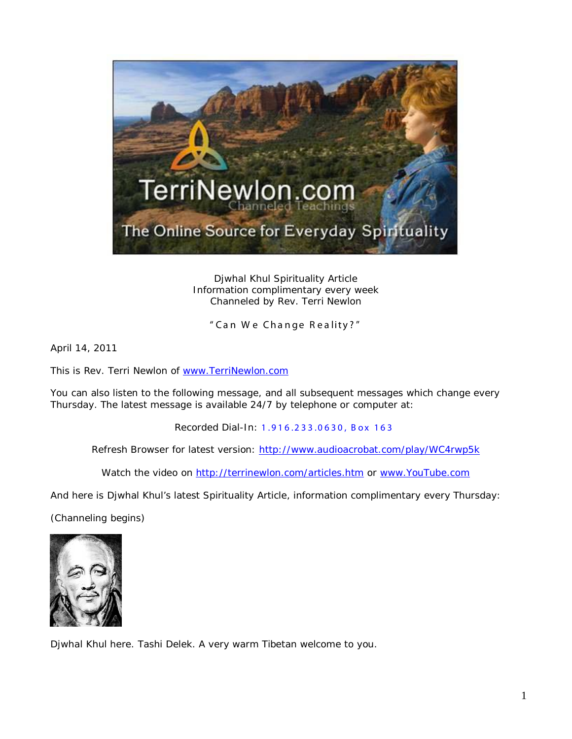

Djwhal Khul Spirituality Article Information complimentary every week Channeled by Rev. Terri Newlon

" Can W e Change R eality? "

April 14, 2011

This is Rev. Terri Newlon of [www.TerriNewlon.com](http://www.terrinewlon.com/)

You can also listen to the following message, and all subsequent messages which change every Thursday. The latest message is available 24/7 by telephone or computer at:

Recorded Dial-In: 1.916.233.0630, Box 163

Refresh Browser for latest version: <http://www.audioacrobat.com/play/WC4rwp5k>

Watch the video on<http://terrinewlon.com/articles.htm> or [www.YouTube.com](http://www.youtube.com/)

And here is Djwhal Khul's latest Spirituality Article, information complimentary every Thursday:

(Channeling begins)



Djwhal Khul here. Tashi Delek. A very warm Tibetan welcome to you.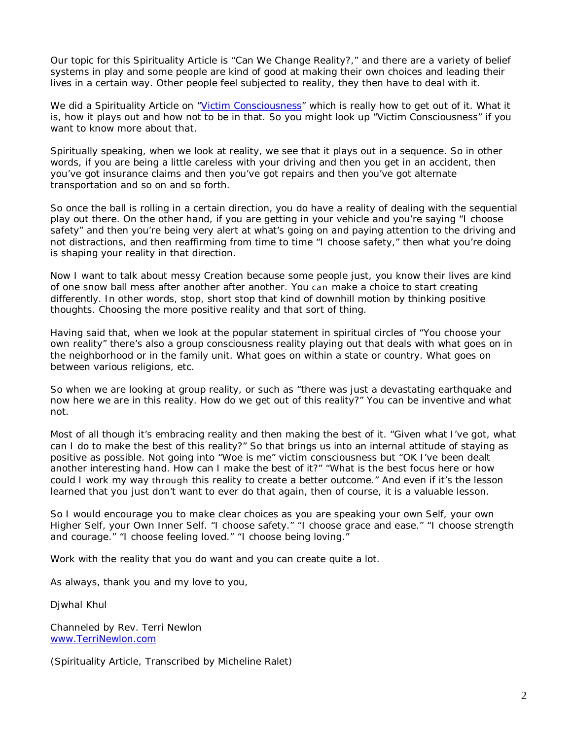Our topic for this Spirituality Article is "Can We Change Reality?," and there are a variety of belief systems in play and some people are kind of good at making their own choices and leading their lives in a certain way. Other people feel subjected to reality, they then have to deal with it.

We did a Spirituality Article on ["Victim Consciousness"](http://www.terrinewlon.com/Victim_Consciousness.html) which is really how to get out of it. What it is, how it plays out and how not to be in that. So you might look up "Victim Consciousness" if you want to know more about that.

Spiritually speaking, when we look at reality, we see that it plays out in a sequence. So in other words, if you are being a little careless with your driving and then you get in an accident, then you've got insurance claims and then you've got repairs and then you've got alternate transportation and so on and so forth.

So once the ball is rolling in a certain direction, you do have a reality of dealing with the sequential play out there. On the other hand, if you are getting in your vehicle and you're saying "I choose safety" and then you're being very alert at what's going on and paying attention to the driving and not distractions, and then reaffirming from time to time "I choose safety," then what you're doing is shaping your reality in that direction.

Now I want to talk about messy Creation because some people just, you know their lives are kind of one snow ball mess after another after another. You can make a choice to start creating differently. In other words, stop, short stop that kind of downhill motion by thinking positive thoughts. Choosing the more positive reality and that sort of thing.

Having said that, when we look at the popular statement in spiritual circles of "You choose your own reality" there's also a group consciousness reality playing out that deals with what goes on in the neighborhood or in the family unit. What goes on within a state or country. What goes on between various religions, etc.

So when we are looking at group reality, or such as "there was just a devastating earthquake and now here we are in this reality. How do we get out of this reality?" You can be inventive and what not.

Most of all though it's embracing reality and then making the best of it. "Given what I've got, what can I do to make the best of this reality?" So that brings us into an internal attitude of staying as positive as possible. Not going into "Woe is me" victim consciousness but "OK I've been dealt another interesting hand. How can I make the best of it?" "What is the best focus here or how could I work my way through this reality to create a better outcome." And even if it's the lesson learned that you just don't want to ever do that again, then of course, it is a valuable lesson.

So I would encourage you to make clear choices as you are speaking your own Self, your own Higher Self, your Own Inner Self. "I choose safety." "I choose grace and ease." "I choose strength and courage." "I choose feeling loved." "I choose being loving."

Work with the reality that you do want and you can create quite a lot.

As always, thank you and my love to you,

Djwhal Khul

Channeled by Rev. Terri Newlon [www.TerriNewlon.com](http://www.terrinewlon.com/)

(Spirituality Article, Transcribed by Micheline Ralet)